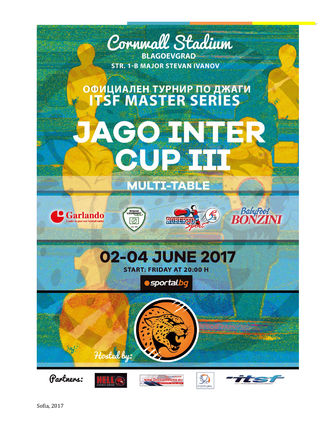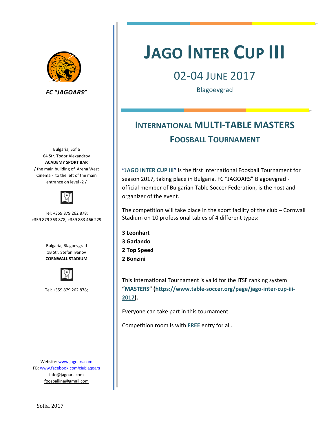

*FC "JAGOARS"*

 Cinema ‐ to the left of the main Bulgaria, Sofia 64 Str. Todor Alexandrov **ACADEMY SPORT BAR** / the main building of Arena West entrance on level ‐2 /



Tel: +359 879 262 878; +359 879 363 878; +359 883 466 229

> Bulgaria, Blagoevgrad 1B Str. Stefan Ivanov **CORNWALL STADIUM**



Tel: +359 879 262 878;

Website: www.jagoars.com FB: www.facebook.com/clubjagoars info@jagoars.com foosballina@gmail.com

# **JAGO INTER CUP III**

# 02‐04 JUNE 2017

Blagoevgrad

# *Домакин: СК по джаги "ДЖАГОАРС"* **FOOSBALL TOURNAMENT INTERNATIONAL MULTI‐TABLE MASTERS**

**"JAGO INTER CUP III"** is the first International Foosball Tournament for season 2017, taking place in Bulgaria. FC "JAGOARS" Blagoevgrad ‐ official member of Bulgarian Table Soccer Federation, is the host and organizer of the event.

The competition will take place in the sport facility of the club – Cornwall Stadium on 10 professional tables of 4 different types:

**3 Leonhart 3 Garlando 2 Top Speed 2 Bonzini**

This International Tournament is valid for the ITSF ranking system **"MASTERS" (https://www.table‐soccer.org/page/jago‐inter‐cup‐iii‐ 2017).**

Everyone can take part in this tournament.

Competition room is with **FREE** entry for all.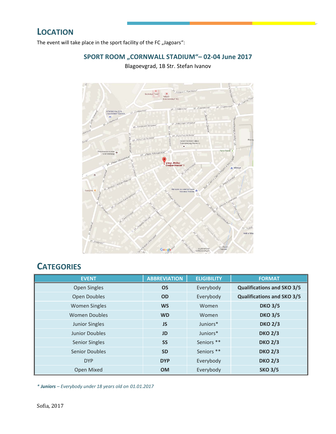The event will take place in the sport facility of the FC "Jagoars":

### **SPORT ROOM "CORNWALL STADIUM"– 02‐04 June 2017**

Blagoevgrad, 1B Str. Stefan Ivanov



## **CATEGORIES**

| <b>EVENT</b>          | <b>ABBREVIATION</b> | <b>ELIGIBILITY</b> | <b>FORMAT</b>                     |
|-----------------------|---------------------|--------------------|-----------------------------------|
| Open Singles          | <b>OS</b>           | Everybody          | <b>Qualifications and SKO 3/5</b> |
| <b>Open Doubles</b>   | <b>OD</b>           | Everybody          | <b>Qualifications and SKO 3/5</b> |
| <b>Women Singles</b>  | <b>WS</b>           | Women              | <b>DKO 3/5</b>                    |
| <b>Women Doubles</b>  | <b>WD</b>           | Women              | <b>DKO 3/5</b>                    |
| <b>Junior Singles</b> | <b>JS</b>           | Juniors*           | <b>DKO 2/3</b>                    |
| <b>Junior Doubles</b> | <b>JD</b>           | Juniors*           | <b>DKO 2/3</b>                    |
| <b>Senior Singles</b> | <b>SS</b>           | Seniors **         | <b>DKO 2/3</b>                    |
| <b>Senior Doubles</b> | <b>SD</b>           | Seniors **         | <b>DKO 2/3</b>                    |
| <b>DYP</b>            | <b>DYP</b>          | Everybody          | <b>DKO 2/3</b>                    |
| Open Mixed            | <b>OM</b>           | Everybody          | <b>SKO 3/5</b>                    |

*\* Juniors – Everybody under 18 years old on 01.01.2017*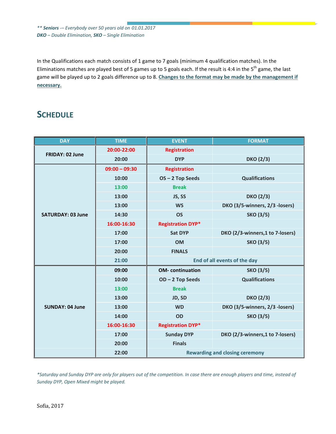*\*\* Seniors ‐– Everybody over 50 years old on 01.01.2017 DKO – Double Elimination, SKO – Single Elimination*

In the Qualifications each match consists of 1 game to 7 goals (minimum 4 qualification matches). In the Eliminations matches are played best of 5 games up to 5 goals each. If the result is 4:4 in the  $5<sup>th</sup>$  game, the last game will be played up to 2 goals difference up to 8. **Changes to the format may be made by the management if necessary.**

## **SCHEDULE**

| <b>DAY</b>               | <b>TIME</b>     | <b>EVENT</b>                          | <b>FORMAT</b>                    |
|--------------------------|-----------------|---------------------------------------|----------------------------------|
|                          | 20:00-22:00     | <b>Registration</b>                   |                                  |
| <b>FRIDAY: 02 June</b>   | 20:00           | <b>DYP</b>                            | <b>DKO (2/3)</b>                 |
|                          | $09:00 - 09:30$ | <b>Registration</b>                   |                                  |
|                          | 10:00           | OS-2 Top Seeds                        | <b>Qualifications</b>            |
|                          | 13:00           | <b>Break</b>                          |                                  |
|                          | 13:00           | JS, SS                                | <b>DKO (2/3)</b>                 |
|                          | 13:00           | <b>WS</b>                             | DKO (3/5-winners, 2/3 -losers)   |
| <b>SATURDAY: 03 June</b> | 14:30           | <b>OS</b>                             | <b>SKO (3/5)</b>                 |
|                          | 16:00-16:30     | <b>Registration DYP*</b>              |                                  |
|                          | 17:00           | <b>Sat DYP</b>                        | DKO (2/3-winners, 1 to 7-losers) |
|                          | 17:00           | <b>OM</b>                             | <b>SKO (3/5)</b>                 |
|                          | 20:00           | <b>FINALS</b>                         |                                  |
|                          | 21:00           | End of all events of the day          |                                  |
|                          | 09:00           | <b>OM-</b> continuation               | <b>SKO (3/5)</b>                 |
|                          | 10:00           | OD-2 Top Seeds                        | <b>Qualifications</b>            |
|                          | 13:00           | <b>Break</b>                          |                                  |
|                          | 13:00           | JD, SD                                | <b>DKO (2/3)</b>                 |
| <b>SUNDAY: 04 June</b>   | 13:00           | <b>WD</b>                             | DKO (3/5-winners, 2/3 -losers)   |
|                          | 14:00           | OD                                    | <b>SKO (3/5)</b>                 |
|                          | 16:00-16:30     | <b>Registration DYP*</b>              |                                  |
|                          | 17:00           | <b>Sunday DYP</b>                     | DKO (2/3-winners,1 to 7-losers)  |
|                          | 20:00           | <b>Finals</b>                         |                                  |
|                          | 22:00           | <b>Rewarding and closing ceremony</b> |                                  |

\*Saturday and Sunday DYP are only for players out of the competition. In case there are enough players and time, instead of *Sunday DYP, Open Mixed might be played.*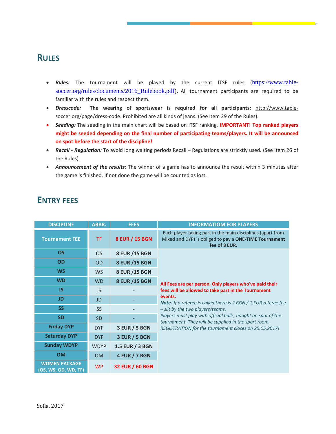### **RULES**

- **Rules:** The tournament will be played by the current ITSF rules (https://www.tablesoccer.org/rules/documents/2016\_Rulebook.pdf). All tournament participants are required to be familiar with the rules and respect them.
- *Dresscode:* **The wearing of sportswear is required for all participants:** http://www.table‐ soccer.org/page/dress-code. Prohibited are all kinds of jeans. (See item 29 of the Rules).
- *Seeding:* The seeding in the main chart will be based on ITSF ranking. **IMPORTANT! Top ranked players might be seeded depending on the final number of participating teams/players. It will be announced on spot before the start of the discipline!**
- *Recall ‐ Regulation:* To avoid long waiting periods Recall Regulations are stricktly used. (See item 26 of the Rules).
- *Announcement of the results:* The winner of a game has to announce the result within 3 minutes after the game is finished. If not done the game will be counted as lost.

| <b>DISCIPLINE</b>                            | ABBR.       | <b>FEES</b>            | <b>INFORMATIOM FOR PLAYERS</b>                                                                                                         |
|----------------------------------------------|-------------|------------------------|----------------------------------------------------------------------------------------------------------------------------------------|
| <b>Tournament FEE</b>                        | TF.         | 8 EUR / 15 BGN         | Each player taking part in the main disciplines (apart from<br>Mixed and DYP) is obliged to pay a ONE-TIME Tournament<br>fee of 8 EUR. |
| <b>OS</b>                                    | <b>OS</b>   | 8 EUR / 15 BGN         |                                                                                                                                        |
| <b>OD</b>                                    | <b>OD</b>   | 8 EUR / 15 BGN         |                                                                                                                                        |
| <b>WS</b>                                    | <b>WS</b>   | 8 EUR / 15 BGN         |                                                                                                                                        |
| <b>WD</b>                                    | <b>WD</b>   | 8 EUR / 15 BGN         | All Fees are per person. Only players who've paid their                                                                                |
| JS.                                          | <b>JS</b>   |                        | fees will be allowed to take part in the Tournament                                                                                    |
| <b>JD</b>                                    | <b>JD</b>   |                        | events.<br>Note! If a referee is called there is 2 BGN / 1 EUR referee fee                                                             |
| <b>SS</b>                                    | <b>SS</b>   |                        | - slit by the two players/teams.                                                                                                       |
| <b>SD</b>                                    | <b>SD</b>   |                        | Players must play with official balls, bought on spot of the<br>tournament. They will be supplied in the sport room.                   |
| <b>Friday DYP</b>                            | <b>DYP</b>  | <b>3 EUR / 5 BGN</b>   | REGISTRATION for the tournament closes on 25.05.2017!                                                                                  |
| <b>Saturday DYP</b>                          | <b>DYP</b>  | <b>3 EUR / 5 BGN</b>   |                                                                                                                                        |
| <b>Sunday WDYP</b>                           | <b>WDYP</b> | 1.5 EUR / 3 BGN        |                                                                                                                                        |
| <b>OM</b>                                    | <b>OM</b>   | <b>4 EUR / 7 BGN</b>   |                                                                                                                                        |
| <b>WOMEN PACKAGE</b><br>(OS, WS, OD, WD, TF) | <b>WP</b>   | <b>32 EUR / 60 BGN</b> |                                                                                                                                        |

### **ENTRY FEES**